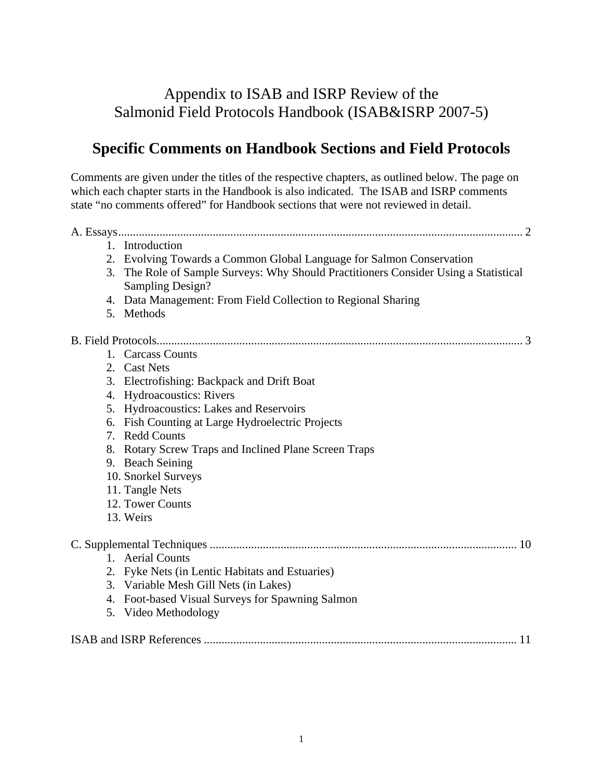# Appendix to ISAB and ISRP Review of the Salmonid Field Protocols Handbook (ISAB&ISRP 2007-5)

# **Specific Comments on Handbook Sections and Field Protocols**

Comments are given under the titles of the respective chapters, as outlined below. The page on which each chapter starts in the Handbook is also indicated. The ISAB and ISRP comments state "no comments offered" for Handbook sections that were not reviewed in detail.

|  | 1. Introduction                                                                      |
|--|--------------------------------------------------------------------------------------|
|  | 2. Evolving Towards a Common Global Language for Salmon Conservation                 |
|  | 3. The Role of Sample Surveys: Why Should Practitioners Consider Using a Statistical |
|  | Sampling Design?                                                                     |
|  | 4. Data Management: From Field Collection to Regional Sharing                        |
|  | 5. Methods                                                                           |
|  |                                                                                      |
|  | 1. Carcass Counts                                                                    |
|  | 2. Cast Nets                                                                         |
|  | 3. Electrofishing: Backpack and Drift Boat                                           |
|  | 4. Hydroacoustics: Rivers                                                            |
|  | 5. Hydroacoustics: Lakes and Reservoirs                                              |
|  | 6. Fish Counting at Large Hydroelectric Projects                                     |
|  | 7. Redd Counts                                                                       |
|  | 8. Rotary Screw Traps and Inclined Plane Screen Traps                                |
|  | 9. Beach Seining                                                                     |
|  | 10. Snorkel Surveys                                                                  |
|  | 11. Tangle Nets                                                                      |
|  | 12. Tower Counts                                                                     |
|  | 13. Weirs                                                                            |
|  |                                                                                      |
|  | 1. Aerial Counts                                                                     |
|  | 2. Fyke Nets (in Lentic Habitats and Estuaries)                                      |
|  | 3. Variable Mesh Gill Nets (in Lakes)                                                |
|  | 4. Foot-based Visual Surveys for Spawning Salmon                                     |
|  | 5. Video Methodology                                                                 |
|  |                                                                                      |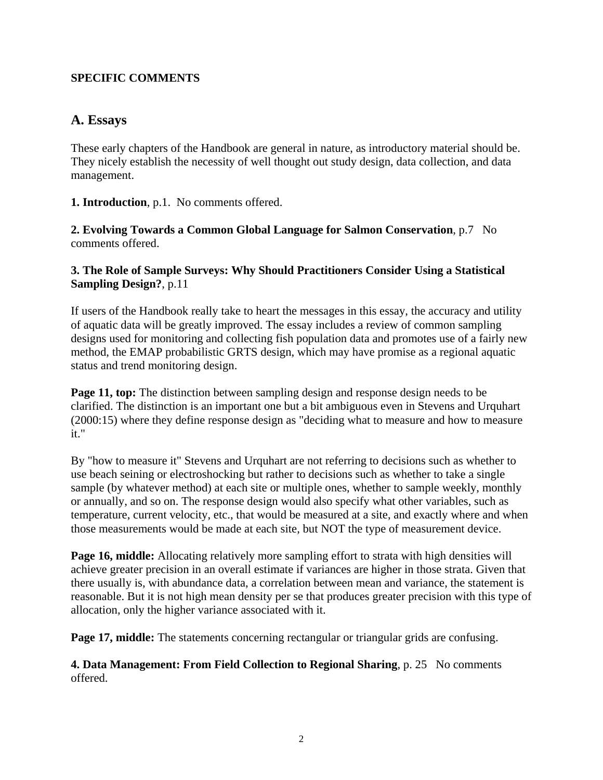## <span id="page-1-0"></span>**SPECIFIC COMMENTS**

# **A. Essays**

These early chapters of the Handbook are general in nature, as introductory material should be. They nicely establish the necessity of well thought out study design, data collection, and data management.

**1. Introduction**, p.1. No comments offered.

**2. Evolving Towards a Common Global Language for Salmon Conservation**, p.7No comments offered.

## **3. The Role of Sample Surveys: Why Should Practitioners Consider Using a Statistical Sampling Design?**, p.11

If users of the Handbook really take to heart the messages in this essay, the accuracy and utility of aquatic data will be greatly improved. The essay includes a review of common sampling designs used for monitoring and collecting fish population data and promotes use of a fairly new method, the EMAP probabilistic GRTS design, which may have promise as a regional aquatic status and trend monitoring design.

**Page 11, top:** The distinction between sampling design and response design needs to be clarified. The distinction is an important one but a bit ambiguous even in Stevens and Urquhart (2000:15) where they define response design as "deciding what to measure and how to measure it."

By "how to measure it" Stevens and Urquhart are not referring to decisions such as whether to use beach seining or electroshocking but rather to decisions such as whether to take a single sample (by whatever method) at each site or multiple ones, whether to sample weekly, monthly or annually, and so on. The response design would also specify what other variables, such as temperature, current velocity, etc., that would be measured at a site, and exactly where and when those measurements would be made at each site, but NOT the type of measurement device.

**Page 16, middle:** Allocating relatively more sampling effort to strata with high densities will achieve greater precision in an overall estimate if variances are higher in those strata. Given that there usually is, with abundance data, a correlation between mean and variance, the statement is reasonable. But it is not high mean density per se that produces greater precision with this type of allocation, only the higher variance associated with it.

**Page 17, middle:** The statements concerning rectangular or triangular grids are confusing.

**4. Data Management: From Field Collection to Regional Sharing**, p. 25 No comments offered.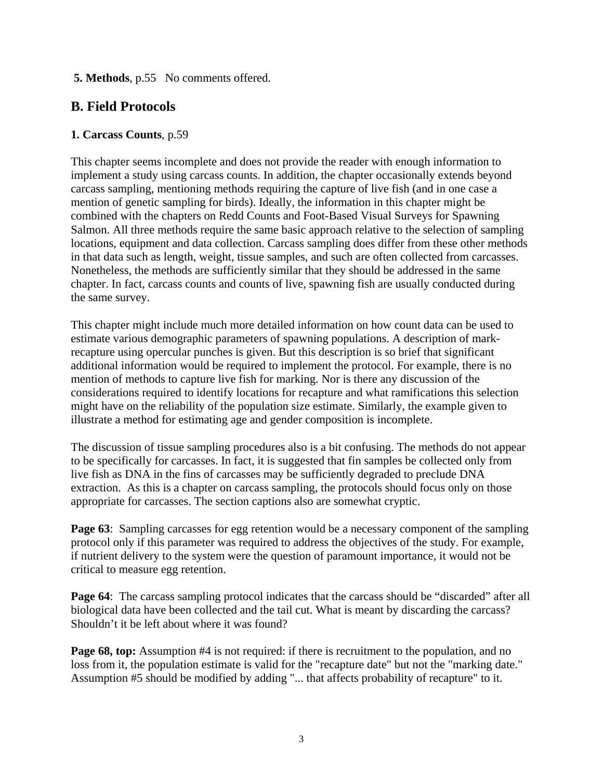### <span id="page-2-0"></span> **5. Methods**, p.55 No comments offered.

# **B. Field Protocols**

#### **1. Carcass Counts**, p.59

This chapter seems incomplete and does not provide the reader with enough information to implement a study using carcass counts. In addition, the chapter occasionally extends beyond carcass sampling, mentioning methods requiring the capture of live fish (and in one case a mention of genetic sampling for birds). Ideally, the information in this chapter might be combined with the chapters on Redd Counts and Foot-Based Visual Surveys for Spawning Salmon. All three methods require the same basic approach relative to the selection of sampling locations, equipment and data collection. Carcass sampling does differ from these other methods in that data such as length, weight, tissue samples, and such are often collected from carcasses. Nonetheless, the methods are sufficiently similar that they should be addressed in the same chapter. In fact, carcass counts and counts of live, spawning fish are usually conducted during the same survey.

This chapter might include much more detailed information on how count data can be used to estimate various demographic parameters of spawning populations. A description of markrecapture using opercular punches is given. But this description is so brief that significant additional information would be required to implement the protocol. For example, there is no mention of methods to capture live fish for marking. Nor is there any discussion of the considerations required to identify locations for recapture and what ramifications this selection might have on the reliability of the population size estimate. Similarly, the example given to illustrate a method for estimating age and gender composition is incomplete.

The discussion of tissue sampling procedures also is a bit confusing. The methods do not appear to be specifically for carcasses. In fact, it is suggested that fin samples be collected only from live fish as DNA in the fins of carcasses may be sufficiently degraded to preclude DNA extraction. As this is a chapter on carcass sampling, the protocols should focus only on those appropriate for carcasses. The section captions also are somewhat cryptic.

**Page 63:** Sampling carcasses for egg retention would be a necessary component of the sampling protocol only if this parameter was required to address the objectives of the study. For example, if nutrient delivery to the system were the question of paramount importance, it would not be critical to measure egg retention.

**Page 64**: The carcass sampling protocol indicates that the carcass should be "discarded" after all biological data have been collected and the tail cut. What is meant by discarding the carcass? Shouldn't it be left about where it was found?

**Page 68, top:** Assumption #4 is not required: if there is recruitment to the population, and no loss from it, the population estimate is valid for the "recapture date" but not the "marking date." Assumption #5 should be modified by adding "... that affects probability of recapture" to it.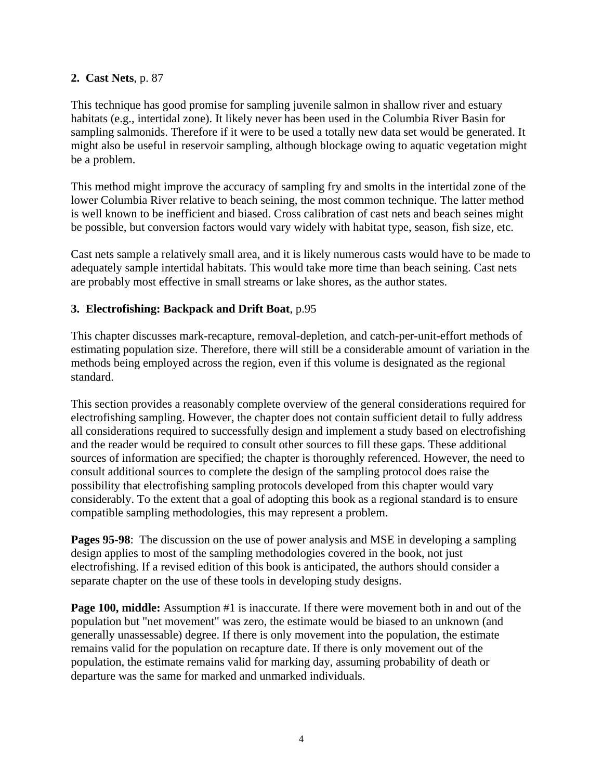### **2. Cast Nets**, p. 87

This technique has good promise for sampling juvenile salmon in shallow river and estuary habitats (e.g., intertidal zone). It likely never has been used in the Columbia River Basin for sampling salmonids. Therefore if it were to be used a totally new data set would be generated. It might also be useful in reservoir sampling, although blockage owing to aquatic vegetation might be a problem.

This method might improve the accuracy of sampling fry and smolts in the intertidal zone of the lower Columbia River relative to beach seining, the most common technique. The latter method is well known to be inefficient and biased. Cross calibration of cast nets and beach seines might be possible, but conversion factors would vary widely with habitat type, season, fish size, etc.

Cast nets sample a relatively small area, and it is likely numerous casts would have to be made to adequately sample intertidal habitats. This would take more time than beach seining. Cast nets are probably most effective in small streams or lake shores, as the author states.

## **3. Electrofishing: Backpack and Drift Boat**, p.95

This chapter discusses mark-recapture, removal-depletion, and catch-per-unit-effort methods of estimating population size. Therefore, there will still be a considerable amount of variation in the methods being employed across the region, even if this volume is designated as the regional standard.

This section provides a reasonably complete overview of the general considerations required for electrofishing sampling. However, the chapter does not contain sufficient detail to fully address all considerations required to successfully design and implement a study based on electrofishing and the reader would be required to consult other sources to fill these gaps. These additional sources of information are specified; the chapter is thoroughly referenced. However, the need to consult additional sources to complete the design of the sampling protocol does raise the possibility that electrofishing sampling protocols developed from this chapter would vary considerably. To the extent that a goal of adopting this book as a regional standard is to ensure compatible sampling methodologies, this may represent a problem.

**Pages 95-98**: The discussion on the use of power analysis and MSE in developing a sampling design applies to most of the sampling methodologies covered in the book, not just electrofishing. If a revised edition of this book is anticipated, the authors should consider a separate chapter on the use of these tools in developing study designs.

**Page 100, middle:** Assumption #1 is inaccurate. If there were movement both in and out of the population but "net movement" was zero, the estimate would be biased to an unknown (and generally unassessable) degree. If there is only movement into the population, the estimate remains valid for the population on recapture date. If there is only movement out of the population, the estimate remains valid for marking day, assuming probability of death or departure was the same for marked and unmarked individuals.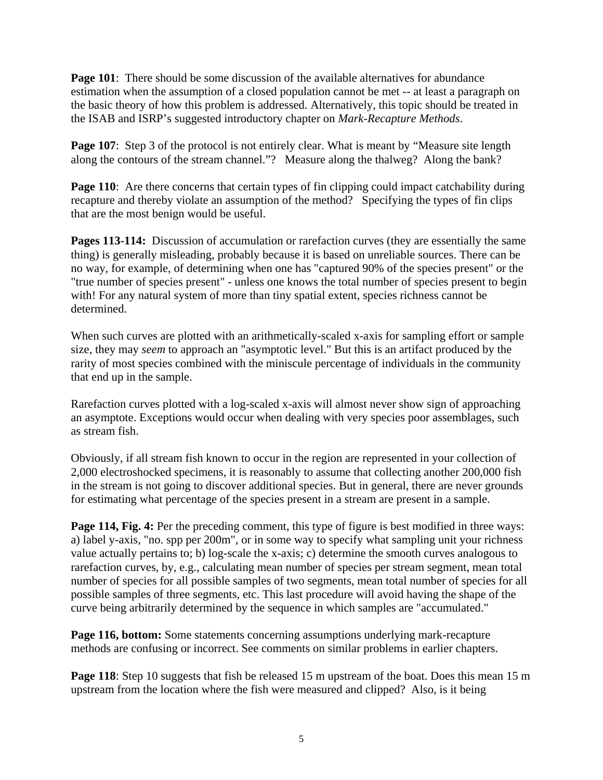**Page 101**: There should be some discussion of the available alternatives for abundance estimation when the assumption of a closed population cannot be met -- at least a paragraph on the basic theory of how this problem is addressed. Alternatively, this topic should be treated in the ISAB and ISRP's suggested introductory chapter on *Mark-Recapture Methods*.

**Page 107:** Step 3 of the protocol is not entirely clear. What is meant by "Measure site length along the contours of the stream channel."? Measure along the thalweg? Along the bank?

**Page 110:** Are there concerns that certain types of fin clipping could impact catchability during recapture and thereby violate an assumption of the method? Specifying the types of fin clips that are the most benign would be useful.

**Pages 113-114:** Discussion of accumulation or rarefaction curves (they are essentially the same thing) is generally misleading, probably because it is based on unreliable sources. There can be no way, for example, of determining when one has "captured 90% of the species present" or the "true number of species present" - unless one knows the total number of species present to begin with! For any natural system of more than tiny spatial extent, species richness cannot be determined.

When such curves are plotted with an arithmetically-scaled x-axis for sampling effort or sample size, they may *seem* to approach an "asymptotic level." But this is an artifact produced by the rarity of most species combined with the miniscule percentage of individuals in the community that end up in the sample.

Rarefaction curves plotted with a log-scaled x-axis will almost never show sign of approaching an asymptote. Exceptions would occur when dealing with very species poor assemblages, such as stream fish.

Obviously, if all stream fish known to occur in the region are represented in your collection of 2,000 electroshocked specimens, it is reasonably to assume that collecting another 200,000 fish in the stream is not going to discover additional species. But in general, there are never grounds for estimating what percentage of the species present in a stream are present in a sample.

**Page 114, Fig. 4:** Per the preceding comment, this type of figure is best modified in three ways: a) label y-axis, "no. spp per 200m", or in some way to specify what sampling unit your richness value actually pertains to; b) log-scale the x-axis; c) determine the smooth curves analogous to rarefaction curves, by, e.g., calculating mean number of species per stream segment, mean total number of species for all possible samples of two segments, mean total number of species for all possible samples of three segments, etc. This last procedure will avoid having the shape of the curve being arbitrarily determined by the sequence in which samples are "accumulated."

**Page 116, bottom:** Some statements concerning assumptions underlying mark-recapture methods are confusing or incorrect. See comments on similar problems in earlier chapters.

**Page 118**: Step 10 suggests that fish be released 15 m upstream of the boat. Does this mean 15 m upstream from the location where the fish were measured and clipped? Also, is it being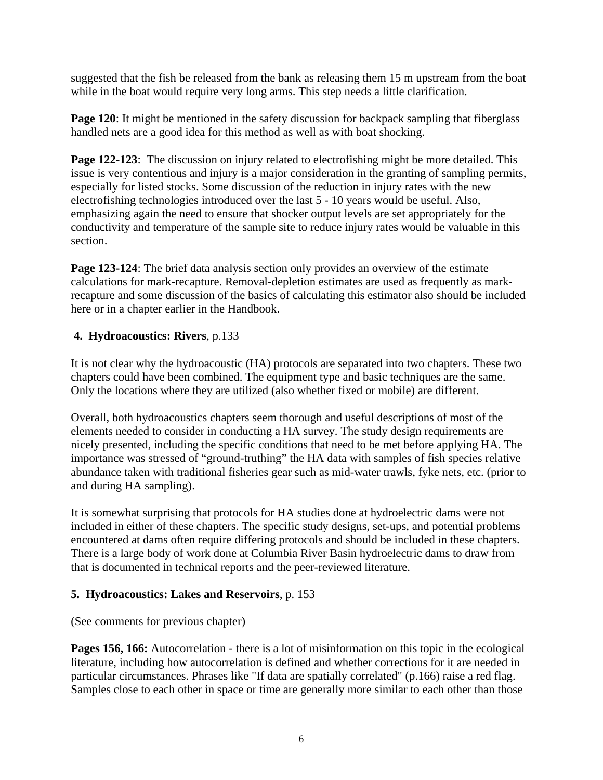suggested that the fish be released from the bank as releasing them 15 m upstream from the boat while in the boat would require very long arms. This step needs a little clarification.

**Page 120**: It might be mentioned in the safety discussion for backpack sampling that fiberglass handled nets are a good idea for this method as well as with boat shocking.

**Page 122-123**: The discussion on injury related to electrofishing might be more detailed. This issue is very contentious and injury is a major consideration in the granting of sampling permits, especially for listed stocks. Some discussion of the reduction in injury rates with the new electrofishing technologies introduced over the last 5 - 10 years would be useful. Also, emphasizing again the need to ensure that shocker output levels are set appropriately for the conductivity and temperature of the sample site to reduce injury rates would be valuable in this section.

**Page 123-124:** The brief data analysis section only provides an overview of the estimate calculations for mark-recapture. Removal-depletion estimates are used as frequently as markrecapture and some discussion of the basics of calculating this estimator also should be included here or in a chapter earlier in the Handbook.

## **4. Hydroacoustics: Rivers**, p.133

It is not clear why the hydroacoustic (HA) protocols are separated into two chapters. These two chapters could have been combined. The equipment type and basic techniques are the same. Only the locations where they are utilized (also whether fixed or mobile) are different.

Overall, both hydroacoustics chapters seem thorough and useful descriptions of most of the elements needed to consider in conducting a HA survey. The study design requirements are nicely presented, including the specific conditions that need to be met before applying HA. The importance was stressed of "ground-truthing" the HA data with samples of fish species relative abundance taken with traditional fisheries gear such as mid-water trawls, fyke nets, etc. (prior to and during HA sampling).

It is somewhat surprising that protocols for HA studies done at hydroelectric dams were not included in either of these chapters. The specific study designs, set-ups, and potential problems encountered at dams often require differing protocols and should be included in these chapters. There is a large body of work done at Columbia River Basin hydroelectric dams to draw from that is documented in technical reports and the peer-reviewed literature.

## **5. Hydroacoustics: Lakes and Reservoirs**, p. 153

(See comments for previous chapter)

**Pages 156, 166:** Autocorrelation - there is a lot of misinformation on this topic in the ecological literature, including how autocorrelation is defined and whether corrections for it are needed in particular circumstances. Phrases like "If data are spatially correlated" (p.166) raise a red flag. Samples close to each other in space or time are generally more similar to each other than those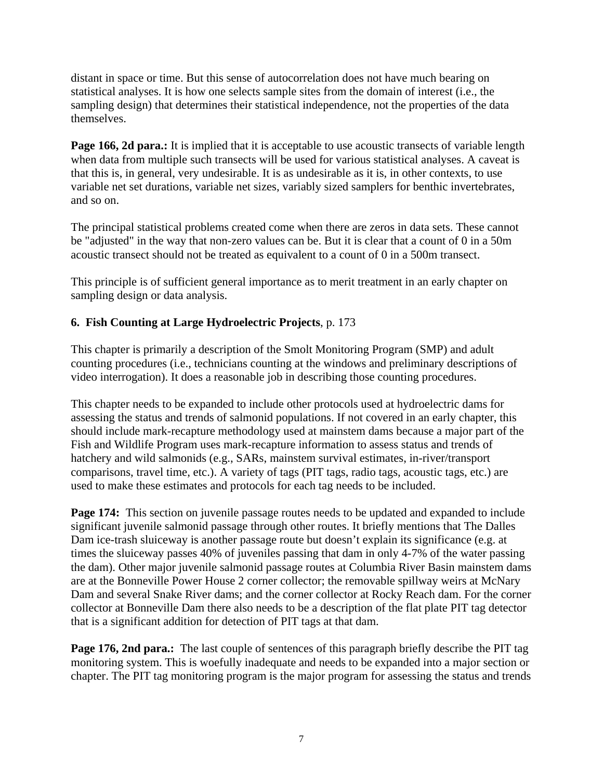distant in space or time. But this sense of autocorrelation does not have much bearing on statistical analyses. It is how one selects sample sites from the domain of interest (i.e., the sampling design) that determines their statistical independence, not the properties of the data themselves.

**Page 166, 2d para.:** It is implied that it is acceptable to use acoustic transects of variable length when data from multiple such transects will be used for various statistical analyses. A caveat is that this is, in general, very undesirable. It is as undesirable as it is, in other contexts, to use variable net set durations, variable net sizes, variably sized samplers for benthic invertebrates, and so on.

The principal statistical problems created come when there are zeros in data sets. These cannot be "adjusted" in the way that non-zero values can be. But it is clear that a count of 0 in a 50m acoustic transect should not be treated as equivalent to a count of 0 in a 500m transect.

This principle is of sufficient general importance as to merit treatment in an early chapter on sampling design or data analysis.

# **6. Fish Counting at Large Hydroelectric Projects**, p. 173

This chapter is primarily a description of the Smolt Monitoring Program (SMP) and adult counting procedures (i.e., technicians counting at the windows and preliminary descriptions of video interrogation). It does a reasonable job in describing those counting procedures.

This chapter needs to be expanded to include other protocols used at hydroelectric dams for assessing the status and trends of salmonid populations. If not covered in an early chapter, this should include mark-recapture methodology used at mainstem dams because a major part of the Fish and Wildlife Program uses mark-recapture information to assess status and trends of hatchery and wild salmonids (e.g., SARs, mainstem survival estimates, in-river/transport comparisons, travel time, etc.). A variety of tags (PIT tags, radio tags, acoustic tags, etc.) are used to make these estimates and protocols for each tag needs to be included.

**Page 174:** This section on juvenile passage routes needs to be updated and expanded to include significant juvenile salmonid passage through other routes. It briefly mentions that The Dalles Dam ice-trash sluiceway is another passage route but doesn't explain its significance (e.g. at times the sluiceway passes 40% of juveniles passing that dam in only 4-7% of the water passing the dam). Other major juvenile salmonid passage routes at Columbia River Basin mainstem dams are at the Bonneville Power House 2 corner collector; the removable spillway weirs at McNary Dam and several Snake River dams; and the corner collector at Rocky Reach dam. For the corner collector at Bonneville Dam there also needs to be a description of the flat plate PIT tag detector that is a significant addition for detection of PIT tags at that dam.

**Page 176, 2nd para.:** The last couple of sentences of this paragraph briefly describe the PIT tag monitoring system. This is woefully inadequate and needs to be expanded into a major section or chapter. The PIT tag monitoring program is the major program for assessing the status and trends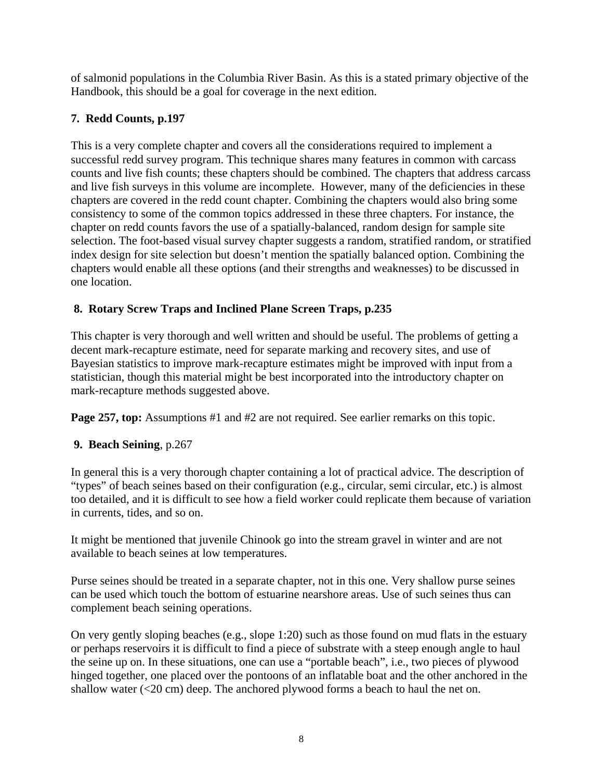of salmonid populations in the Columbia River Basin. As this is a stated primary objective of the Handbook, this should be a goal for coverage in the next edition.

# **7. Redd Counts, p.197**

This is a very complete chapter and covers all the considerations required to implement a successful redd survey program. This technique shares many features in common with carcass counts and live fish counts; these chapters should be combined. The chapters that address carcass and live fish surveys in this volume are incomplete. However, many of the deficiencies in these chapters are covered in the redd count chapter. Combining the chapters would also bring some consistency to some of the common topics addressed in these three chapters. For instance, the chapter on redd counts favors the use of a spatially-balanced, random design for sample site selection. The foot-based visual survey chapter suggests a random, stratified random, or stratified index design for site selection but doesn't mention the spatially balanced option. Combining the chapters would enable all these options (and their strengths and weaknesses) to be discussed in one location.

# **8. Rotary Screw Traps and Inclined Plane Screen Traps, p.235**

This chapter is very thorough and well written and should be useful. The problems of getting a decent mark-recapture estimate, need for separate marking and recovery sites, and use of Bayesian statistics to improve mark-recapture estimates might be improved with input from a statistician, though this material might be best incorporated into the introductory chapter on mark-recapture methods suggested above.

**Page 257, top:** Assumptions #1 and #2 are not required. See earlier remarks on this topic.

# **9. Beach Seining**, p.267

In general this is a very thorough chapter containing a lot of practical advice. The description of "types" of beach seines based on their configuration (e.g., circular, semi circular, etc.) is almost too detailed, and it is difficult to see how a field worker could replicate them because of variation in currents, tides, and so on.

It might be mentioned that juvenile Chinook go into the stream gravel in winter and are not available to beach seines at low temperatures.

Purse seines should be treated in a separate chapter, not in this one. Very shallow purse seines can be used which touch the bottom of estuarine nearshore areas. Use of such seines thus can complement beach seining operations.

On very gently sloping beaches (e.g., slope 1:20) such as those found on mud flats in the estuary or perhaps reservoirs it is difficult to find a piece of substrate with a steep enough angle to haul the seine up on. In these situations, one can use a "portable beach", i.e., two pieces of plywood hinged together, one placed over the pontoons of an inflatable boat and the other anchored in the shallow water  $(<20 \text{ cm})$  deep. The anchored plywood forms a beach to haul the net on.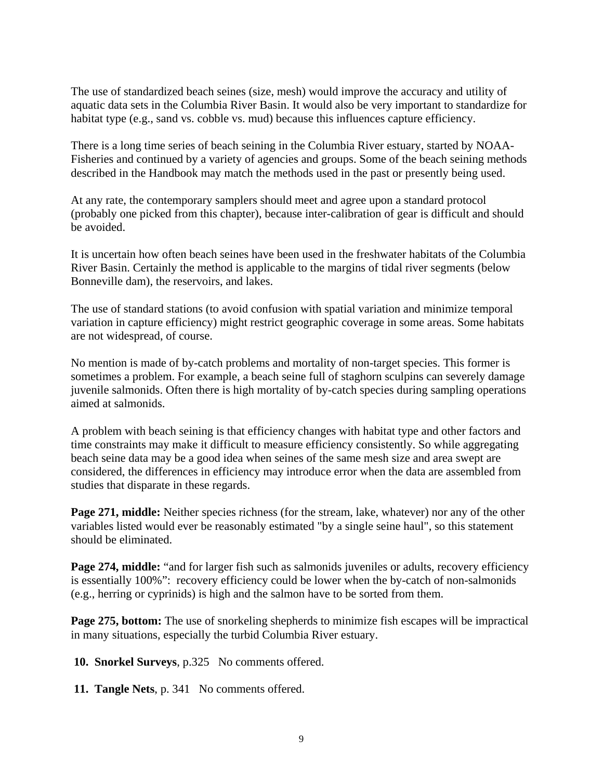The use of standardized beach seines (size, mesh) would improve the accuracy and utility of aquatic data sets in the Columbia River Basin. It would also be very important to standardize for habitat type (e.g., sand vs. cobble vs. mud) because this influences capture efficiency.

There is a long time series of beach seining in the Columbia River estuary, started by NOAA-Fisheries and continued by a variety of agencies and groups. Some of the beach seining methods described in the Handbook may match the methods used in the past or presently being used.

At any rate, the contemporary samplers should meet and agree upon a standard protocol (probably one picked from this chapter), because inter-calibration of gear is difficult and should be avoided.

It is uncertain how often beach seines have been used in the freshwater habitats of the Columbia River Basin. Certainly the method is applicable to the margins of tidal river segments (below Bonneville dam), the reservoirs, and lakes.

The use of standard stations (to avoid confusion with spatial variation and minimize temporal variation in capture efficiency) might restrict geographic coverage in some areas. Some habitats are not widespread, of course.

No mention is made of by-catch problems and mortality of non-target species. This former is sometimes a problem. For example, a beach seine full of staghorn sculpins can severely damage juvenile salmonids. Often there is high mortality of by-catch species during sampling operations aimed at salmonids.

A problem with beach seining is that efficiency changes with habitat type and other factors and time constraints may make it difficult to measure efficiency consistently. So while aggregating beach seine data may be a good idea when seines of the same mesh size and area swept are considered, the differences in efficiency may introduce error when the data are assembled from studies that disparate in these regards.

**Page 271, middle:** Neither species richness (for the stream, lake, whatever) nor any of the other variables listed would ever be reasonably estimated "by a single seine haul", so this statement should be eliminated.

**Page 274, middle:** "and for larger fish such as salmonids juveniles or adults, recovery efficiency is essentially 100%": recovery efficiency could be lower when the by-catch of non-salmonids (e.g., herring or cyprinids) is high and the salmon have to be sorted from them.

**Page 275, bottom:** The use of snorkeling shepherds to minimize fish escapes will be impractical in many situations, especially the turbid Columbia River estuary.

 **10. Snorkel Surveys**, p.325No comments offered.

 **11. Tangle Nets**, p. 341No comments offered.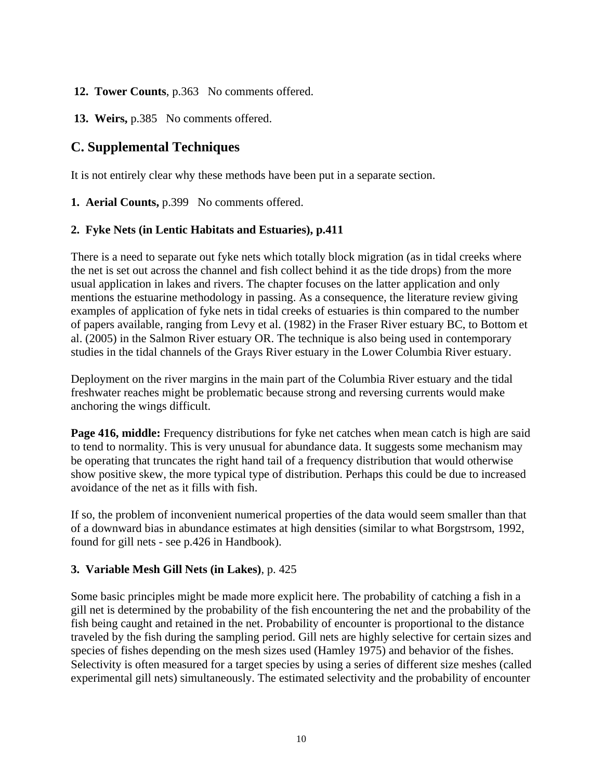### <span id="page-9-0"></span> **12. Tower Counts**, p.363No comments offered.

 **13. Weirs,** p.385 No comments offered.

# **C. Supplemental Techniques**

It is not entirely clear why these methods have been put in a separate section.

**1. Aerial Counts,** p.399No comments offered.

#### **2. Fyke Nets (in Lentic Habitats and Estuaries), p.411**

There is a need to separate out fyke nets which totally block migration (as in tidal creeks where the net is set out across the channel and fish collect behind it as the tide drops) from the more usual application in lakes and rivers. The chapter focuses on the latter application and only mentions the estuarine methodology in passing. As a consequence, the literature review giving examples of application of fyke nets in tidal creeks of estuaries is thin compared to the number of papers available, ranging from Levy et al. (1982) in the Fraser River estuary BC, to Bottom et al. (2005) in the Salmon River estuary OR. The technique is also being used in contemporary studies in the tidal channels of the Grays River estuary in the Lower Columbia River estuary.

Deployment on the river margins in the main part of the Columbia River estuary and the tidal freshwater reaches might be problematic because strong and reversing currents would make anchoring the wings difficult.

**Page 416, middle:** Frequency distributions for fyke net catches when mean catch is high are said to tend to normality. This is very unusual for abundance data. It suggests some mechanism may be operating that truncates the right hand tail of a frequency distribution that would otherwise show positive skew, the more typical type of distribution. Perhaps this could be due to increased avoidance of the net as it fills with fish.

If so, the problem of inconvenient numerical properties of the data would seem smaller than that of a downward bias in abundance estimates at high densities (similar to what Borgstrsom, 1992, found for gill nets - see p.426 in Handbook).

## **3. Variable Mesh Gill Nets (in Lakes)**, p. 425

Some basic principles might be made more explicit here. The probability of catching a fish in a gill net is determined by the probability of the fish encountering the net and the probability of the fish being caught and retained in the net. Probability of encounter is proportional to the distance traveled by the fish during the sampling period. Gill nets are highly selective for certain sizes and species of fishes depending on the mesh sizes used (Hamley 1975) and behavior of the fishes. Selectivity is often measured for a target species by using a series of different size meshes (called experimental gill nets) simultaneously. The estimated selectivity and the probability of encounter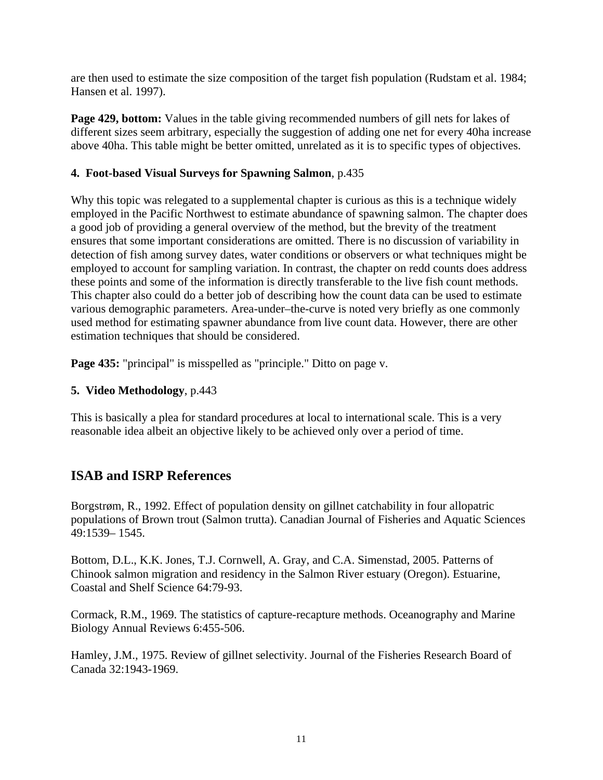<span id="page-10-0"></span>are then used to estimate the size composition of the target fish population (Rudstam et al. 1984; Hansen et al. 1997).

**Page 429, bottom:** Values in the table giving recommended numbers of gill nets for lakes of different sizes seem arbitrary, especially the suggestion of adding one net for every 40ha increase above 40ha. This table might be better omitted, unrelated as it is to specific types of objectives.

# **4. Foot-based Visual Surveys for Spawning Salmon**, p.435

Why this topic was relegated to a supplemental chapter is curious as this is a technique widely employed in the Pacific Northwest to estimate abundance of spawning salmon. The chapter does a good job of providing a general overview of the method, but the brevity of the treatment ensures that some important considerations are omitted. There is no discussion of variability in detection of fish among survey dates, water conditions or observers or what techniques might be employed to account for sampling variation. In contrast, the chapter on redd counts does address these points and some of the information is directly transferable to the live fish count methods. This chapter also could do a better job of describing how the count data can be used to estimate various demographic parameters. Area-under–the-curve is noted very briefly as one commonly used method for estimating spawner abundance from live count data. However, there are other estimation techniques that should be considered.

**Page 435:** "principal" is misspelled as "principle." Ditto on page v.

# **5. Video Methodology**, p.443

This is basically a plea for standard procedures at local to international scale. This is a very reasonable idea albeit an objective likely to be achieved only over a period of time.

# **ISAB and ISRP References**

Borgstrøm, R., 1992. Effect of population density on gillnet catchability in four allopatric populations of Brown trout (Salmon trutta). Canadian Journal of Fisheries and Aquatic Sciences 49:1539– 1545.

Bottom, D.L., K.K. Jones, T.J. Cornwell, A. Gray, and C.A. Simenstad, 2005. Patterns of Chinook salmon migration and residency in the Salmon River estuary (Oregon). Estuarine, Coastal and Shelf Science 64:79-93.

Cormack, R.M., 1969. The statistics of capture-recapture methods. Oceanography and Marine Biology Annual Reviews 6:455-506.

Hamley, J.M., 1975. Review of gillnet selectivity. Journal of the Fisheries Research Board of Canada 32:1943-1969.